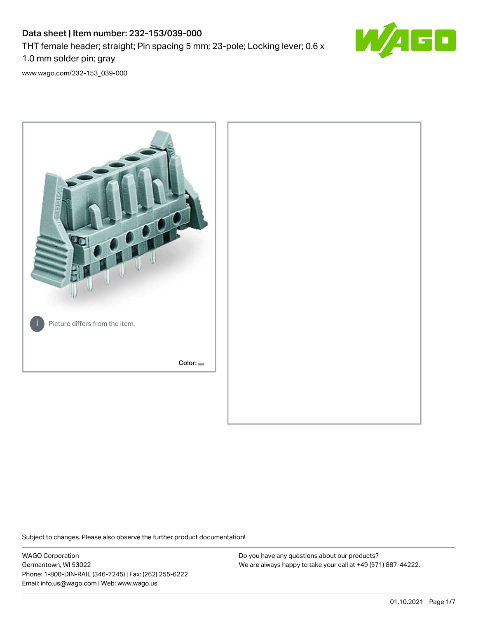# Data sheet | Item number: 232-153/039-000 THT female header; straight; Pin spacing 5 mm; 23-pole; Locking lever; 0.6 x 1.0 mm solder pin; gray



[www.wago.com/232-153\\_039-000](http://www.wago.com/232-153_039-000)



Subject to changes. Please also observe the further product documentation!

WAGO Corporation Germantown, WI 53022 Phone: 1-800-DIN-RAIL (346-7245) | Fax: (262) 255-6222 Email: info.us@wago.com | Web: www.wago.us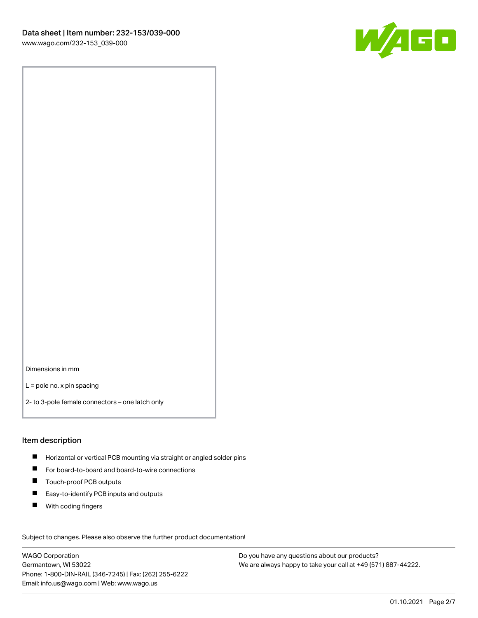

Dimensions in mm

L = pole no. x pin spacing

2- to 3-pole female connectors – one latch only

#### Item description

- **H** Horizontal or vertical PCB mounting via straight or angled solder pins
- For board-to-board and board-to-wire connections
- Touch-proof PCB outputs  $\blacksquare$
- $\blacksquare$ Easy-to-identify PCB inputs and outputs
- $\blacksquare$ With coding fingers

Subject to changes. Please also observe the further product documentation! Data

WAGO Corporation Germantown, WI 53022 Phone: 1-800-DIN-RAIL (346-7245) | Fax: (262) 255-6222 Email: info.us@wago.com | Web: www.wago.us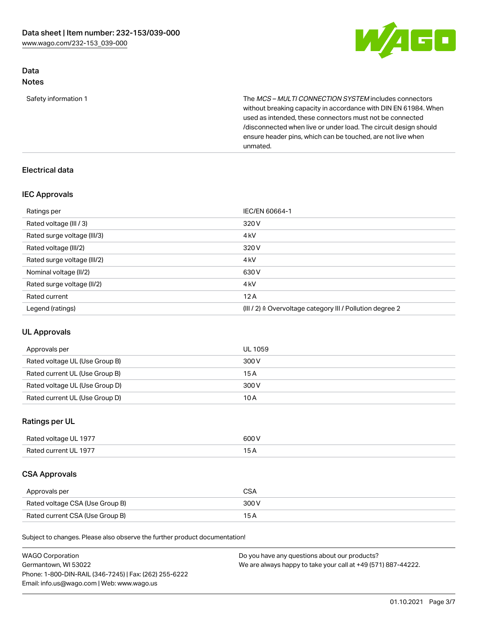

# Data Notes

Safety information 1 The MCS – MULTI CONNECTION SYSTEM includes connectors without breaking capacity in accordance with DIN EN 61984. When used as intended, these connectors must not be connected /disconnected when live or under load. The circuit design should ensure header pins, which can be touched, are not live when unmated.

# Electrical data

# IEC Approvals

| Ratings per                 | IEC/EN 60664-1                                                        |
|-----------------------------|-----------------------------------------------------------------------|
| Rated voltage (III / 3)     | 320 V                                                                 |
| Rated surge voltage (III/3) | 4 <sub>k</sub> V                                                      |
| Rated voltage (III/2)       | 320 V                                                                 |
| Rated surge voltage (III/2) | 4 <sub>k</sub> V                                                      |
| Nominal voltage (II/2)      | 630 V                                                                 |
| Rated surge voltage (II/2)  | 4 <sub>k</sub> V                                                      |
| Rated current               | 12A                                                                   |
| Legend (ratings)            | $(III / 2)$ $\triangle$ Overvoltage category III / Pollution degree 2 |

# UL Approvals

| Approvals per                  | UL 1059 |
|--------------------------------|---------|
| Rated voltage UL (Use Group B) | 300 V   |
| Rated current UL (Use Group B) | 15 A    |
| Rated voltage UL (Use Group D) | 300 V   |
| Rated current UL (Use Group D) | 10A     |

# Ratings per UL

| Rated voltage UL 1977 | 600 V |
|-----------------------|-------|
| Rated current UL 1977 | 15A   |

# CSA Approvals

| Approvals per                   | CSA   |
|---------------------------------|-------|
| Rated voltage CSA (Use Group B) | 300 V |
| Rated current CSA (Use Group B) | 15 A  |

Subject to changes. Please also observe the further product documentation!

| <b>WAGO Corporation</b>                                | Do you have any questions about our products?                 |
|--------------------------------------------------------|---------------------------------------------------------------|
| Germantown, WI 53022                                   | We are always happy to take your call at +49 (571) 887-44222. |
| Phone: 1-800-DIN-RAIL (346-7245)   Fax: (262) 255-6222 |                                                               |
| Email: info.us@wago.com   Web: www.wago.us             |                                                               |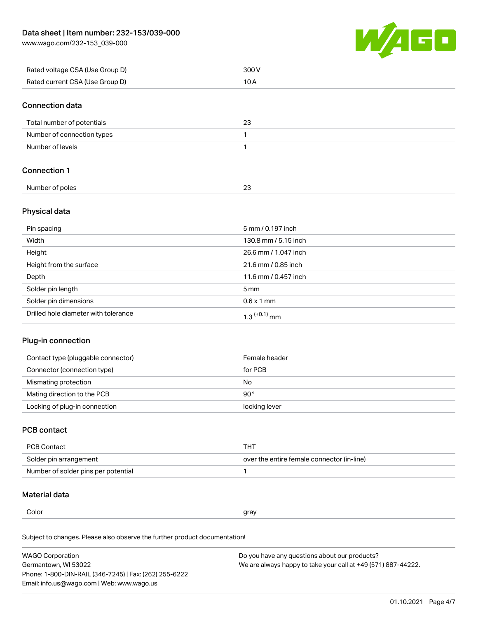[www.wago.com/232-153\\_039-000](http://www.wago.com/232-153_039-000)



| Rated voltage CSA (Use Group D) | 300 V |
|---------------------------------|-------|
| Rated current CSA (Use Group D) |       |

## Connection data

| Total number of potentials | 23 |
|----------------------------|----|
| Number of connection types |    |
| Number of levels           |    |

# Connection 1

| Number of poles |  |
|-----------------|--|
|                 |  |

# Physical data

| Pin spacing                          | 5 mm / 0.197 inch    |
|--------------------------------------|----------------------|
| Width                                | 130.8 mm / 5.15 inch |
| Height                               | 26.6 mm / 1.047 inch |
| Height from the surface              | 21.6 mm / 0.85 inch  |
| Depth                                | 11.6 mm / 0.457 inch |
| Solder pin length                    | $5 \,\mathrm{mm}$    |
| Solder pin dimensions                | $0.6 \times 1$ mm    |
| Drilled hole diameter with tolerance | $1.3$ $(+0.1)$ mm    |

# Plug-in connection

| Contact type (pluggable connector) | Female header |
|------------------------------------|---------------|
| Connector (connection type)        | for PCB       |
| Mismating protection               | No            |
| Mating direction to the PCB        | $90^{\circ}$  |
| Locking of plug-in connection      | locking lever |

# PCB contact

| PCB Contact                         | THT                                        |
|-------------------------------------|--------------------------------------------|
| Solder pin arrangement              | over the entire female connector (in-line) |
| Number of solder pins per potential |                                            |

# Material data

L,

| Color | arav<br>. . |
|-------|-------------|
|       |             |

Subject to changes. Please also observe the further product documentation! Material group I

| <b>WAGO Corporation</b>                                | Do you have any questions about our products?                 |
|--------------------------------------------------------|---------------------------------------------------------------|
| Germantown, WI 53022                                   | We are always happy to take your call at +49 (571) 887-44222. |
| Phone: 1-800-DIN-RAIL (346-7245)   Fax: (262) 255-6222 |                                                               |
| Email: info.us@wago.com   Web: www.wago.us             |                                                               |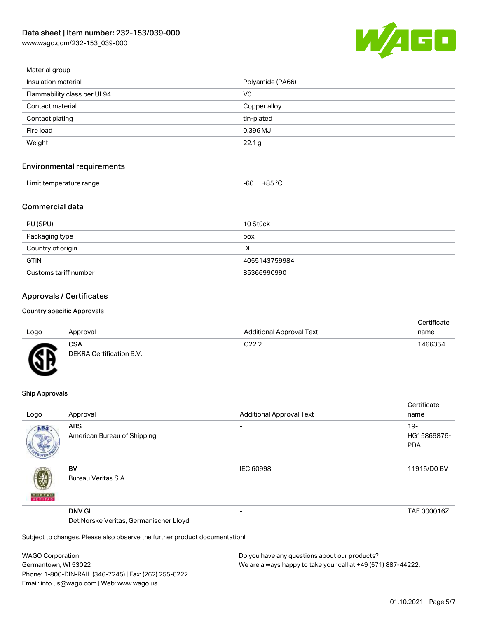[www.wago.com/232-153\\_039-000](http://www.wago.com/232-153_039-000)



| Material group                    |                   |  |
|-----------------------------------|-------------------|--|
| Insulation material               | Polyamide (PA66)  |  |
| Flammability class per UL94       | V <sub>0</sub>    |  |
| Contact material                  | Copper alloy      |  |
| Contact plating                   | tin-plated        |  |
| Fire load                         | 0.396 MJ          |  |
| Weight                            | 22.1 <sub>g</sub> |  |
| <b>Environmental requirements</b> |                   |  |
| Limit temperature range           | $-60+85 °C$       |  |
| <b>Commercial data</b>            |                   |  |
| PU (SPU)                          | 10 Stück          |  |
| Packaging type                    | hox               |  |

| Packaging type        | box           |
|-----------------------|---------------|
| Country of origin     | DE            |
| <b>GTIN</b>           | 4055143759984 |
| Customs tariff number | 85366990990   |

# Approvals / Certificates

#### Country specific Approvals

|      |                          |                                 | Certificate |
|------|--------------------------|---------------------------------|-------------|
| Logo | Approval                 | <b>Additional Approval Text</b> | name        |
|      | <b>CSA</b>               | C22.2                           | 1466354     |
| Ж    | DEKRA Certification B.V. |                                 |             |
|      |                          |                                 |             |

#### Ship Approvals

w

|                         |                                                                            |                                               | Certificate |
|-------------------------|----------------------------------------------------------------------------|-----------------------------------------------|-------------|
| Logo                    | Approval                                                                   | <b>Additional Approval Text</b>               | name        |
| ABS                     | <b>ABS</b>                                                                 |                                               | $19 -$      |
|                         | American Bureau of Shipping                                                |                                               | HG15869876- |
|                         |                                                                            |                                               | <b>PDA</b>  |
|                         | BV                                                                         | <b>IEC 60998</b>                              | 11915/D0 BV |
| <b>BUNEAU</b>           | Bureau Veritas S.A.                                                        |                                               |             |
|                         | <b>DNV GL</b>                                                              |                                               | TAE 000016Z |
|                         | Det Norske Veritas, Germanischer Lloyd                                     |                                               |             |
|                         | Subject to changes. Please also observe the further product documentation! |                                               |             |
| <b>WAGO Corporation</b> |                                                                            | Do you have any questions about our products? |             |

Germantown, WI 53022 Phone: 1-800-DIN-RAIL (346-7245) | Fax: (262) 255-6222 Email: info.us@wago.com | Web: www.wago.us

We are always happy to take your call at +49 (571) 887-44222.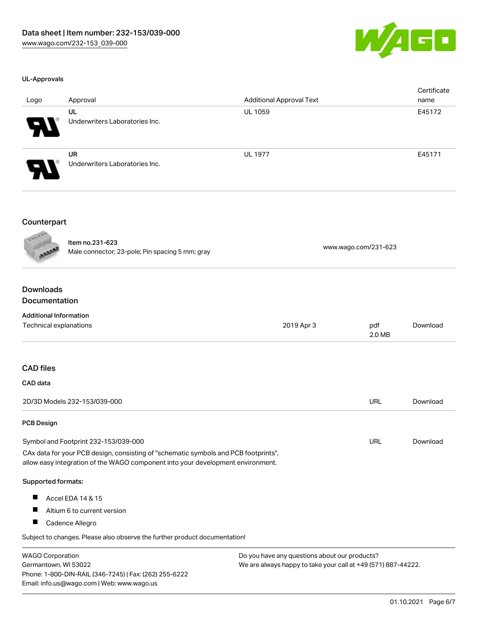

### UL-Approvals

| Logo                  | Approval                                    | <b>Additional Approval Text</b> | Certificate<br>name |
|-----------------------|---------------------------------------------|---------------------------------|---------------------|
| $\boldsymbol{\theta}$ | UL<br>Underwriters Laboratories Inc.        | <b>UL 1059</b>                  | E45172              |
| 8                     | <b>UR</b><br>Underwriters Laboratories Inc. | <b>UL 1977</b>                  | E45171              |

### Counterpart

Item no.231-623 nem 10.231-023<br>Male connector; 23-pole; Pin spacing 5 mm; gray [www.wago.com/231-623](https://www.wago.com/231-623)

# Downloads Documentation

| <b>Additional Information</b>                                                                                                                                          |                                               |               |          |
|------------------------------------------------------------------------------------------------------------------------------------------------------------------------|-----------------------------------------------|---------------|----------|
| Technical explanations                                                                                                                                                 | 2019 Apr 3                                    | pdf<br>2.0 MB | Download |
|                                                                                                                                                                        |                                               |               |          |
| <b>CAD files</b>                                                                                                                                                       |                                               |               |          |
| CAD data                                                                                                                                                               |                                               |               |          |
| 2D/3D Models 232-153/039-000                                                                                                                                           |                                               | <b>URL</b>    | Download |
| <b>PCB Design</b>                                                                                                                                                      |                                               |               |          |
| Symbol and Footprint 232-153/039-000                                                                                                                                   |                                               | URL           | Download |
| CAx data for your PCB design, consisting of "schematic symbols and PCB footprints",<br>allow easy integration of the WAGO component into your development environment. |                                               |               |          |
| Supported formats:                                                                                                                                                     |                                               |               |          |
| ш<br>Accel EDA 14 & 15                                                                                                                                                 |                                               |               |          |
| ш<br>Altium 6 to current version                                                                                                                                       |                                               |               |          |
| П<br>Cadence Allegro                                                                                                                                                   |                                               |               |          |
| Subject to changes. Please also observe the further product documentation!                                                                                             |                                               |               |          |
| WACO Corporation                                                                                                                                                       | Do vou bave any questions about our producte? |               |          |

WAGO Corporation Germantown, WI 53022 Phone: 1-800-DIN-RAIL (346-7245) | Fax: (262) 255-6222 Email: info.us@wago.com | Web: www.wago.us